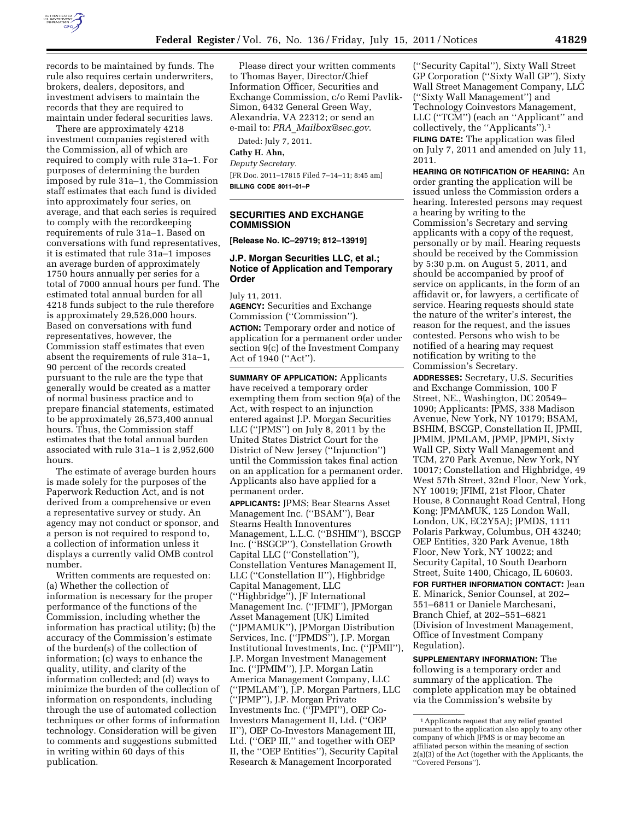

records to be maintained by funds. The rule also requires certain underwriters, brokers, dealers, depositors, and investment advisers to maintain the records that they are required to maintain under federal securities laws.

There are approximately 4218 investment companies registered with the Commission, all of which are required to comply with rule 31a–1. For purposes of determining the burden imposed by rule 31a–1, the Commission staff estimates that each fund is divided into approximately four series, on average, and that each series is required to comply with the recordkeeping requirements of rule 31a–1. Based on conversations with fund representatives, it is estimated that rule 31a–1 imposes an average burden of approximately 1750 hours annually per series for a total of 7000 annual hours per fund. The estimated total annual burden for all 4218 funds subject to the rule therefore is approximately 29,526,000 hours. Based on conversations with fund representatives, however, the Commission staff estimates that even absent the requirements of rule 31a–1, 90 percent of the records created pursuant to the rule are the type that generally would be created as a matter of normal business practice and to prepare financial statements, estimated to be approximately 26,573,400 annual hours. Thus, the Commission staff estimates that the total annual burden associated with rule 31a–1 is 2,952,600 hours.

The estimate of average burden hours is made solely for the purposes of the Paperwork Reduction Act, and is not derived from a comprehensive or even a representative survey or study. An agency may not conduct or sponsor, and a person is not required to respond to, a collection of information unless it displays a currently valid OMB control number.

Written comments are requested on: (a) Whether the collection of information is necessary for the proper performance of the functions of the Commission, including whether the information has practical utility; (b) the accuracy of the Commission's estimate of the burden(s) of the collection of information; (c) ways to enhance the quality, utility, and clarity of the information collected; and (d) ways to minimize the burden of the collection of information on respondents, including through the use of automated collection techniques or other forms of information technology. Consideration will be given to comments and suggestions submitted in writing within 60 days of this publication.

Please direct your written comments to Thomas Bayer, Director/Chief Information Officer, Securities and Exchange Commission, c/o Remi Pavlik-Simon, 6432 General Green Way, Alexandria, VA 22312; or send an e-mail to: *PRA*\_*[Mailbox@sec.gov](mailto:PRA_Mailbox@sec.gov)*.

Dated: July 7, 2011.

# **Cathy H. Ahn,**

*Deputy Secretary.*  [FR Doc. 2011–17815 Filed 7–14–11; 8:45 am] **BILLING CODE 8011–01–P** 

## **SECURITIES AND EXCHANGE COMMISSION**

**[Release No. IC–29719; 812–13919]** 

## **J.P. Morgan Securities LLC, et al.; Notice of Application and Temporary Order**

July 11, 2011.

**AGENCY:** Securities and Exchange Commission (''Commission''). **ACTION:** Temporary order and notice of application for a permanent order under section 9(c) of the Investment Company Act of 1940 (''Act'').

**SUMMARY OF APPLICATION:** Applicants have received a temporary order exempting them from section 9(a) of the Act, with respect to an injunction entered against J.P. Morgan Securities LLC (''JPMS'') on July 8, 2011 by the United States District Court for the District of New Jersey (''Injunction'') until the Commission takes final action on an application for a permanent order. Applicants also have applied for a permanent order.

**APPLICANTS:** JPMS; Bear Stearns Asset Management Inc. (''BSAM''), Bear Stearns Health Innoventures Management, L.L.C. (''BSHIM''), BSCGP Inc. (''BSGCP''), Constellation Growth Capital LLC (''Constellation''), Constellation Ventures Management II, LLC (''Constellation II''), Highbridge Capital Management, LLC (''Highbridge''), JF International Management Inc. (''JFIMI''), JPMorgan Asset Management (UK) Limited (''JPMAMUK''), JPMorgan Distribution Services, Inc. (''JPMDS''), J.P. Morgan Institutional Investments, Inc. (''JPMII''), J.P. Morgan Investment Management Inc. (''JPMIM''), J.P. Morgan Latin America Management Company, LLC (''JPMLAM''), J.P. Morgan Partners, LLC (''JPMP''), J.P. Morgan Private Investments Inc. (''JPMPI''), OEP Co-Investors Management II, Ltd. (''OEP II''), OEP Co-Investors Management III, Ltd. (''OEP III,'' and together with OEP II, the ''OEP Entities''), Security Capital Research & Management Incorporated

(''Security Capital''), Sixty Wall Street GP Corporation (''Sixty Wall GP''), Sixty Wall Street Management Company, LLC (''Sixty Wall Management'') and Technology Coinvestors Management, LLC (''TCM'') (each an ''Applicant'' and collectively, the ''Applicants'').1

**FILING DATE:** The application was filed on July 7, 2011 and amended on July 11, 2011.

**HEARING OR NOTIFICATION OF HEARING:** An order granting the application will be issued unless the Commission orders a hearing. Interested persons may request a hearing by writing to the Commission's Secretary and serving applicants with a copy of the request, personally or by mail. Hearing requests should be received by the Commission by 5:30 p.m. on August 5, 2011, and should be accompanied by proof of service on applicants, in the form of an affidavit or, for lawyers, a certificate of service. Hearing requests should state the nature of the writer's interest, the reason for the request, and the issues contested. Persons who wish to be notified of a hearing may request notification by writing to the Commission's Secretary.

**ADDRESSES:** Secretary, U.S. Securities and Exchange Commission, 100 F Street, NE., Washington, DC 20549– 1090; Applicants: JPMS, 338 Madison Avenue, New York, NY 10179; BSAM, BSHIM, BSCGP, Constellation II, JPMII, JPMIM, JPMLAM, JPMP, JPMPI, Sixty Wall GP, Sixty Wall Management and TCM, 270 Park Avenue, New York, NY 10017; Constellation and Highbridge, 49 West 57th Street, 32nd Floor, New York, NY 10019; JFIMI, 21st Floor, Chater House, 8 Connaught Road Central, Hong Kong; JPMAMUK, 125 London Wall, London, UK, EC2Y5AJ; JPMDS, 1111 Polaris Parkway, Columbus, OH 43240; OEP Entities, 320 Park Avenue, 18th Floor, New York, NY 10022; and Security Capital, 10 South Dearborn Street, Suite 1400, Chicago, IL 60603.

**FOR FURTHER INFORMATION CONTACT:** Jean E. Minarick, Senior Counsel, at 202– 551–6811 or Daniele Marchesani, Branch Chief, at 202–551–6821 (Division of Investment Management, Office of Investment Company Regulation).

**SUPPLEMENTARY INFORMATION:** The following is a temporary order and summary of the application. The complete application may be obtained via the Commission's website by

<sup>1</sup>Applicants request that any relief granted pursuant to the application also apply to any other company of which JPMS is or may become an affiliated person within the meaning of section 2(a)(3) of the Act (together with the Applicants, the ''Covered Persons'').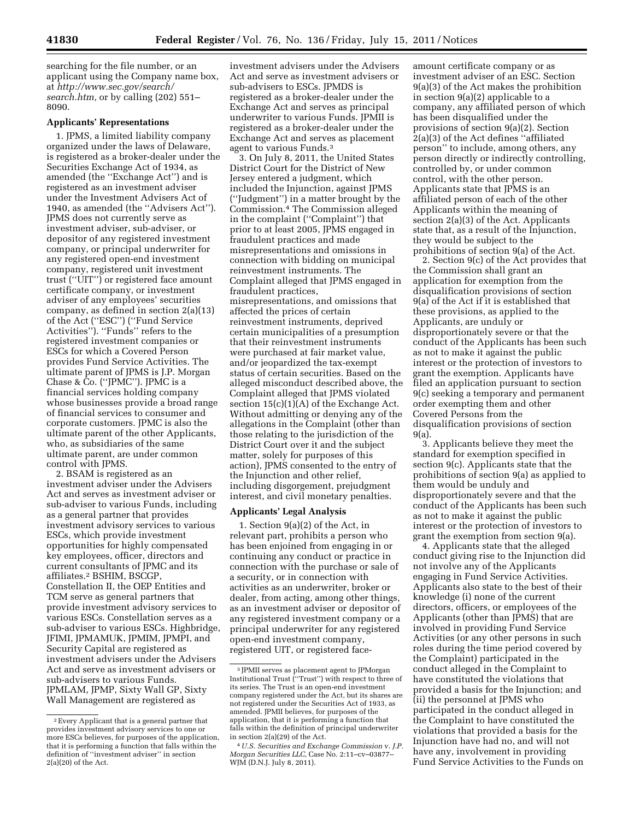searching for the file number, or an applicant using the Company name box, at *[http://www.sec.gov/search/](http://www.sec.gov/search/search.htm) [search.htm,](http://www.sec.gov/search/search.htm)* or by calling (202) 551– 8090.

## **Applicants' Representations**

1. JPMS, a limited liability company organized under the laws of Delaware, is registered as a broker-dealer under the Securities Exchange Act of 1934, as amended (the ''Exchange Act'') and is registered as an investment adviser under the Investment Advisers Act of 1940, as amended (the ''Advisers Act''). JPMS does not currently serve as investment adviser, sub-adviser, or depositor of any registered investment company, or principal underwriter for any registered open-end investment company, registered unit investment trust (''UIT'') or registered face amount certificate company, or investment adviser of any employees' securities company, as defined in section 2(a)(13) of the Act (''ESC'') (''Fund Service Activities''). ''Funds'' refers to the registered investment companies or ESCs for which a Covered Person provides Fund Service Activities. The ultimate parent of JPMS is J.P. Morgan Chase & Co. (''JPMC''). JPMC is a financial services holding company whose businesses provide a broad range of financial services to consumer and corporate customers. JPMC is also the ultimate parent of the other Applicants, who, as subsidiaries of the same ultimate parent, are under common control with JPMS.

2. BSAM is registered as an investment adviser under the Advisers Act and serves as investment adviser or sub-adviser to various Funds, including as a general partner that provides investment advisory services to various ESCs, which provide investment opportunities for highly compensated key employees, officer, directors and current consultants of JPMC and its affiliates.2 BSHIM, BSCGP, Constellation II, the OEP Entities and TCM serve as general partners that provide investment advisory services to various ESCs. Constellation serves as a sub-adviser to various ESCs. Highbridge, JFIMI, JPMAMUK, JPMIM, JPMPI, and Security Capital are registered as investment advisers under the Advisers Act and serve as investment advisers or sub-advisers to various Funds. JPMLAM, JPMP, Sixty Wall GP, Sixty Wall Management are registered as

investment advisers under the Advisers Act and serve as investment advisers or sub-advisers to ESCs. JPMDS is registered as a broker-dealer under the Exchange Act and serves as principal underwriter to various Funds. JPMII is registered as a broker-dealer under the Exchange Act and serves as placement agent to various Funds.3

3. On July 8, 2011, the United States District Court for the District of New Jersey entered a judgment, which included the Injunction, against JPMS (''Judgment'') in a matter brought by the Commission.4 The Commission alleged in the complaint (''Complaint'') that prior to at least 2005, JPMS engaged in fraudulent practices and made misrepresentations and omissions in connection with bidding on municipal reinvestment instruments. The Complaint alleged that JPMS engaged in fraudulent practices, misrepresentations, and omissions that affected the prices of certain reinvestment instruments, deprived certain municipalities of a presumption that their reinvestment instruments were purchased at fair market value, and/or jeopardized the tax-exempt status of certain securities. Based on the alleged misconduct described above, the Complaint alleged that JPMS violated section  $15(c)(1)(A)$  of the Exchange Act. Without admitting or denying any of the allegations in the Complaint (other than those relating to the jurisdiction of the District Court over it and the subject matter, solely for purposes of this action), JPMS consented to the entry of the Injunction and other relief, including disgorgement, prejudgment interest, and civil monetary penalties.

### **Applicants' Legal Analysis**

1. Section 9(a)(2) of the Act, in relevant part, prohibits a person who has been enjoined from engaging in or continuing any conduct or practice in connection with the purchase or sale of a security, or in connection with activities as an underwriter, broker or dealer, from acting, among other things, as an investment adviser or depositor of any registered investment company or a principal underwriter for any registered open-end investment company, registered UIT, or registered face-

amount certificate company or as investment adviser of an ESC. Section 9(a)(3) of the Act makes the prohibition in section 9(a)(2) applicable to a company, any affiliated person of which has been disqualified under the provisions of section 9(a)(2). Section 2(a)(3) of the Act defines ''affiliated person'' to include, among others, any person directly or indirectly controlling, controlled by, or under common control, with the other person. Applicants state that JPMS is an affiliated person of each of the other Applicants within the meaning of section 2(a)(3) of the Act. Applicants state that, as a result of the Injunction, they would be subject to the prohibitions of section 9(a) of the Act.

2. Section 9(c) of the Act provides that the Commission shall grant an application for exemption from the disqualification provisions of section 9(a) of the Act if it is established that these provisions, as applied to the Applicants, are unduly or disproportionately severe or that the conduct of the Applicants has been such as not to make it against the public interest or the protection of investors to grant the exemption. Applicants have filed an application pursuant to section 9(c) seeking a temporary and permanent order exempting them and other Covered Persons from the disqualification provisions of section 9(a).

3. Applicants believe they meet the standard for exemption specified in section 9(c). Applicants state that the prohibitions of section 9(a) as applied to them would be unduly and disproportionately severe and that the conduct of the Applicants has been such as not to make it against the public interest or the protection of investors to grant the exemption from section 9(a).

4. Applicants state that the alleged conduct giving rise to the Injunction did not involve any of the Applicants engaging in Fund Service Activities. Applicants also state to the best of their knowledge (i) none of the current directors, officers, or employees of the Applicants (other than JPMS) that are involved in providing Fund Service Activities (or any other persons in such roles during the time period covered by the Complaint) participated in the conduct alleged in the Complaint to have constituted the violations that provided a basis for the Injunction; and (ii) the personnel at JPMS who participated in the conduct alleged in the Complaint to have constituted the violations that provided a basis for the Injunction have had no, and will not have any, involvement in providing Fund Service Activities to the Funds on

<sup>2</sup>Every Applicant that is a general partner that provides investment advisory services to one or more ESCs believes, for purposes of the application, that it is performing a function that falls within the definition of ''investment adviser'' in section 2(a)(20) of the Act.

<sup>3</sup> JPMII serves as placement agent to JPMorgan Institutional Trust (''Trust'') with respect to three of its series. The Trust is an open-end investment company registered under the Act, but its shares are not registered under the Securities Act of 1933, as amended. JPMII believes, for purposes of the application, that it is performing a function that falls within the definition of principal underwriter in section 2(a)(29) of the Act.

<sup>4</sup>*U.S. Securities and Exchange Commission* v. *J.P. Morgan Securities LLC,* Case No. 2:11–cv–03877– WJM (D.N.J. July 8, 2011).